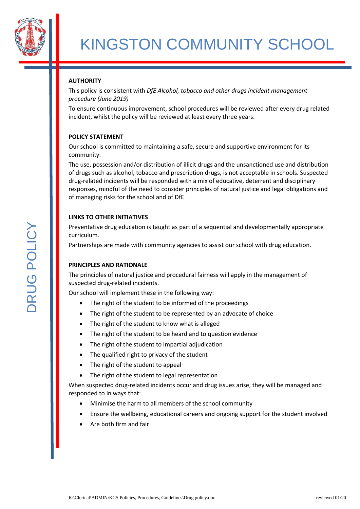

# **AUTHORITY**

This policy is consistent with *DfE Alcohol, tobacco and other drugs incident management procedure (June 2019)* 

To ensure continuous improvement, school procedures will be reviewed after every drug related incident, whilst the policy will be reviewed at least every three years.

## **POLICY STATEMENT**

Our school is committed to maintaining a safe, secure and supportive environment for its community.

The use, possession and/or distribution of illicit drugs and the unsanctioned use and distribution of drugs such as alcohol, tobacco and prescription drugs, is not acceptable in schools. Suspected drug-related incidents will be responded with a mix of educative, deterrent and disciplinary responses, mindful of the need to consider principles of natural justice and legal obligations and of managing risks for the school and of DfE

## **LINKS TO OTHER INITIATIVES**

Preventative drug education is taught as part of a sequential and developmentally appropriate curriculum.

Partnerships are made with community agencies to assist our school with drug education.

# **PRINCIPLES AND RATIONALE**

The principles of natural justice and procedural fairness will apply in the management of suspected drug-related incidents.

Our school will implement these in the following way:

- The right of the student to be informed of the proceedings
- The right of the student to be represented by an advocate of choice
- The right of the student to know what is alleged
- The right of the student to be heard and to question evidence
- The right of the student to impartial adjudication
- The qualified right to privacy of the student
- The right of the student to appeal
- The right of the student to legal representation

When suspected drug-related incidents occur and drug issues arise, they will be managed and responded to in ways that:

- Minimise the harm to all members of the school community
- Ensure the wellbeing, educational careers and ongoing support for the student involved
- Are both firm and fair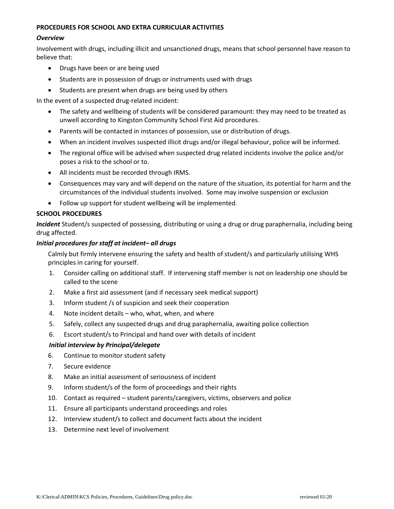#### **PROCEDURES FOR SCHOOL AND EXTRA CURRICULAR ACTIVITIES**

#### *Overview*

Involvement with drugs, including illicit and unsanctioned drugs, means that school personnel have reason to believe that:

- Drugs have been or are being used
- Students are in possession of drugs or instruments used with drugs
- Students are present when drugs are being used by others

In the event of a suspected drug-related incident:

- The safety and wellbeing of students will be considered paramount: they may need to be treated as unwell according to Kingston Community School First Aid procedures.
- Parents will be contacted in instances of possession, use or distribution of drugs.
- When an incident involves suspected illicit drugs and/or illegal behaviour, police will be informed.
- The regional office will be advised when suspected drug related incidents involve the police and/or poses a risk to the school or to.
- All incidents must be recorded through IRMS.
- Consequences may vary and will depend on the nature of the situation, its potential for harm and the circumstances of the individual students involved. Some may involve suspension or exclusion
- Follow up support for student wellbeing will be implemented.

#### **SCHOOL PROCEDURES**

*Incident* Student/s suspected of possessing, distributing or using a drug or drug paraphernalia, including being drug affected.

#### *Initial procedures for staff at incident– all drugs*

Calmly but firmly intervene ensuring the safety and health of student/s and particularly utilising WHS principles in caring for yourself.

- 1. Consider calling on additional staff. If intervening staff member is not on leadership one should be called to the scene
- 2. Make a first aid assessment (and if necessary seek medical support)
- 3. Inform student /s of suspicion and seek their cooperation
- 4. Note incident details who, what, when, and where
- 5. Safely, collect any suspected drugs and drug paraphernalia, awaiting police collection
- 6. Escort student/s to Principal and hand over with details of incident

#### *Initial interview by Principal/delegate*

- 6. Continue to monitor student safety
- 7. Secure evidence
- 8. Make an initial assessment of seriousness of incident
- 9. Inform student/s of the form of proceedings and their rights
- 10. Contact as required student parents/caregivers, victims, observers and police
- 11. Ensure all participants understand proceedings and roles
- 12. Interview student/s to collect and document facts about the incident
- 13. Determine next level of involvement